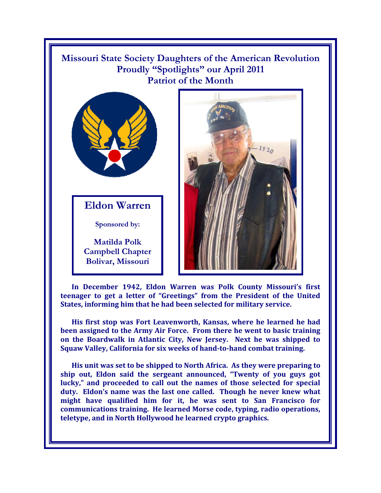## **Missouri State Society Daughters of the American Revolution Proudly "Spotlights" our April 2011 Patriot of the Month**



**Eldon Warren** 

**Sponsored by:** 

**Matilda Polk Campbell Chapter Bolivar, Missouri** 



**In December 1942, Eldon Warren was Polk County Missouri's first teenager to get a letter of "Greetings" from the President of the United States, informing him that he had been selected for military service.** 

**His first stop was Fort Leavenworth, Kansas, where he learned he had been assigned to the Army Air Force. From there he went to basic training on the Boardwalk in Atlantic City, New Jersey. Next he was shipped to Squaw Valley, California for six weeks of hand-to-hand combat training.** 

**His unit was set to be shipped to North Africa. As they were preparing to ship out, Eldon said the sergeant announced, "Twenty of you guys got lucky," and proceeded to call out the names of those selected for special duty. Eldon's name was the last one called. Though he never knew what might have qualified him for it, he was sent to San Francisco for communications training. He learned Morse code, typing, radio operations, teletype, and in North Hollywood he learned crypto graphics.**